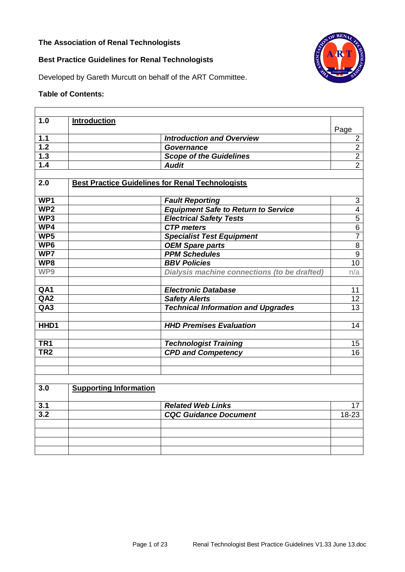### **The Association of Renal Technologists**



# **Best Practice Guidelines for Renal Technologists**

Developed by Gareth Murcutt on behalf of the ART Committee.

## **Table of Contents:**

| 1.0              | <b>Introduction</b>                                     |                                              |                           |
|------------------|---------------------------------------------------------|----------------------------------------------|---------------------------|
|                  |                                                         |                                              | Page                      |
| 1.1              |                                                         | <b>Introduction and Overview</b>             | $\overline{2}$            |
| 1.2              | <b>Governance</b>                                       |                                              | $\overline{c}$            |
| $\overline{1.3}$ |                                                         | <b>Scope of the Guidelines</b>               | $\overline{2}$            |
| 1.4              | <b>Audit</b>                                            |                                              | $\overline{2}$            |
|                  |                                                         |                                              |                           |
| 2.0              | <b>Best Practice Guidelines for Renal Technologists</b> |                                              |                           |
|                  |                                                         |                                              |                           |
| WP1              | <b>Fault Reporting</b>                                  |                                              | $\ensuremath{\mathsf{3}}$ |
| WP <sub>2</sub>  |                                                         | <b>Equipment Safe to Return to Service</b>   | $\overline{\mathbf{4}}$   |
| WP3              |                                                         | <b>Electrical Safety Tests</b>               | $\overline{5}$            |
| WP4              | <b>CTP</b> meters                                       |                                              | $\overline{6}$            |
| WP5              |                                                         | <b>Specialist Test Equipment</b>             | $\overline{7}$            |
| WP <sub>6</sub>  | <b>OEM Spare parts</b>                                  |                                              | $\overline{8}$            |
| WP7              | <b>PPM Schedules</b>                                    |                                              | $\overline{9}$            |
| WP8              | <b>BBV Policies</b>                                     |                                              | $\overline{10}$           |
| WP9              |                                                         | Dialysis machine connections (to be drafted) | n/a                       |
|                  |                                                         |                                              |                           |
| QA1              | <b>Electronic Database</b>                              |                                              | 11                        |
| QA2              | <b>Safety Alerts</b>                                    |                                              | 12 <sub>2</sub>           |
| QA3              |                                                         | <b>Technical Information and Upgrades</b>    | 13                        |
|                  |                                                         |                                              |                           |
| HHD1             |                                                         | <b>HHD Premises Evaluation</b>               | 14                        |
|                  |                                                         |                                              |                           |
| TR <sub>1</sub>  |                                                         | <b>Technologist Training</b>                 | 15                        |
| TR <sub>2</sub>  |                                                         | <b>CPD and Competency</b>                    | 16                        |
|                  |                                                         |                                              |                           |
|                  |                                                         |                                              |                           |
|                  |                                                         |                                              |                           |
| 3.0              | <b>Supporting Information</b>                           |                                              |                           |
|                  |                                                         |                                              |                           |
| 3.1              | <b>Related Web Links</b>                                |                                              | 17                        |
| $\overline{3.2}$ |                                                         | <b>CQC Guidance Document</b>                 | $18 - 23$                 |
|                  |                                                         |                                              |                           |
|                  |                                                         |                                              |                           |
|                  |                                                         |                                              |                           |
|                  |                                                         |                                              |                           |
|                  |                                                         |                                              |                           |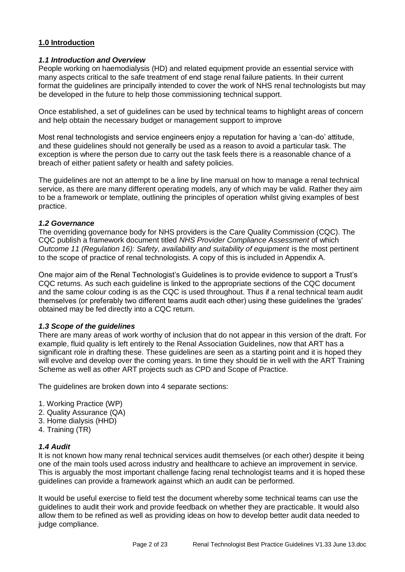### **1.0 Introduction**

#### *1.1 Introduction and Overview*

People working on haemodialysis (HD) and related equipment provide an essential service with many aspects critical to the safe treatment of end stage renal failure patients. In their current format the guidelines are principally intended to cover the work of NHS renal technologists but may be developed in the future to help those commissioning technical support.

Once established, a set of guidelines can be used by technical teams to highlight areas of concern and help obtain the necessary budget or management support to improve

Most renal technologists and service engineers enjoy a reputation for having a 'can-do' attitude, and these guidelines should not generally be used as a reason to avoid a particular task. The exception is where the person due to carry out the task feels there is a reasonable chance of a breach of either patient safety or health and safety policies.

The guidelines are not an attempt to be a line by line manual on how to manage a renal technical service, as there are many different operating models, any of which may be valid. Rather they aim to be a framework or template, outlining the principles of operation whilst giving examples of best practice.

#### *1.2 Governance*

The overriding governance body for NHS providers is the Care Quality Commission (CQC). The CQC publish a framework document titled *NHS Provider Compliance Assessment* of which *Outcome 11 (Regulation 16): Safety, availability and suitability of equipment* is the most pertinent to the scope of practice of renal technologists. A copy of this is included in Appendix A.

One major aim of the Renal Technologist's Guidelines is to provide evidence to support a Trust's CQC returns. As such each guideline is linked to the appropriate sections of the CQC document and the same colour coding is as the CQC is used throughout. Thus if a renal technical team audit themselves (or preferably two different teams audit each other) using these guidelines the 'grades' obtained may be fed directly into a CQC return.

### *1.3 Scope of the guidelines*

There are many areas of work worthy of inclusion that do not appear in this version of the draft. For example, fluid quality is left entirely to the Renal Association Guidelines, now that ART has a significant role in drafting these. These guidelines are seen as a starting point and it is hoped they will evolve and develop over the coming years. In time they should tie in well with the ART Training Scheme as well as other ART projects such as CPD and Scope of Practice.

The guidelines are broken down into 4 separate sections:

- 1. Working Practice (WP)
- 2. Quality Assurance (QA)
- 3. Home dialysis (HHD)
- 4. Training (TR)

#### *1.4 Audit*

It is not known how many renal technical services audit themselves (or each other) despite it being one of the main tools used across industry and healthcare to achieve an improvement in service. This is arguably the most important challenge facing renal technologist teams and it is hoped these guidelines can provide a framework against which an audit can be performed.

It would be useful exercise to field test the document whereby some technical teams can use the guidelines to audit their work and provide feedback on whether they are practicable. It would also allow them to be refined as well as providing ideas on how to develop better audit data needed to judge compliance.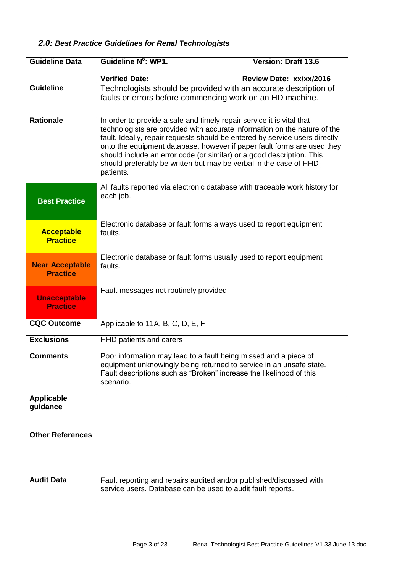# *2.0: Best Practice Guidelines for Renal Technologists*

| <b>Guideline Data</b>                     | Guideline N°: WP1.                                                                                                                                                                                                                                                                                                                                                                                                                                                      | <b>Version: Draft 13.6</b>                                                  |
|-------------------------------------------|-------------------------------------------------------------------------------------------------------------------------------------------------------------------------------------------------------------------------------------------------------------------------------------------------------------------------------------------------------------------------------------------------------------------------------------------------------------------------|-----------------------------------------------------------------------------|
|                                           | <b>Verified Date:</b>                                                                                                                                                                                                                                                                                                                                                                                                                                                   | Review Date: xx/xx/2016                                                     |
| <b>Guideline</b>                          | Technologists should be provided with an accurate description of<br>faults or errors before commencing work on an HD machine.                                                                                                                                                                                                                                                                                                                                           |                                                                             |
| <b>Rationale</b>                          | In order to provide a safe and timely repair service it is vital that<br>technologists are provided with accurate information on the nature of the<br>fault. Ideally, repair requests should be entered by service users directly<br>onto the equipment database, however if paper fault forms are used they<br>should include an error code (or similar) or a good description. This<br>should preferably be written but may be verbal in the case of HHD<br>patients. |                                                                             |
| <b>Best Practice</b>                      | each job.                                                                                                                                                                                                                                                                                                                                                                                                                                                               | All faults reported via electronic database with traceable work history for |
| <b>Acceptable</b><br><b>Practice</b>      | Electronic database or fault forms always used to report equipment<br>faults.                                                                                                                                                                                                                                                                                                                                                                                           |                                                                             |
| <b>Near Acceptable</b><br><b>Practice</b> | Electronic database or fault forms usually used to report equipment<br>faults.                                                                                                                                                                                                                                                                                                                                                                                          |                                                                             |
| <b>Unacceptable</b><br><b>Practice</b>    | Fault messages not routinely provided.                                                                                                                                                                                                                                                                                                                                                                                                                                  |                                                                             |
| <b>CQC Outcome</b>                        | Applicable to 11A, B, C, D, E, F                                                                                                                                                                                                                                                                                                                                                                                                                                        |                                                                             |
| <b>Exclusions</b>                         | HHD patients and carers                                                                                                                                                                                                                                                                                                                                                                                                                                                 |                                                                             |
| <b>Comments</b>                           | Poor information may lead to a fault being missed and a piece of<br>equipment unknowingly being returned to service in an unsafe state.<br>Fault descriptions such as "Broken" increase the likelihood of this<br>scenario.                                                                                                                                                                                                                                             |                                                                             |
| <b>Applicable</b><br>guidance             |                                                                                                                                                                                                                                                                                                                                                                                                                                                                         |                                                                             |
| <b>Other References</b>                   |                                                                                                                                                                                                                                                                                                                                                                                                                                                                         |                                                                             |
| <b>Audit Data</b>                         | Fault reporting and repairs audited and/or published/discussed with<br>service users. Database can be used to audit fault reports.                                                                                                                                                                                                                                                                                                                                      |                                                                             |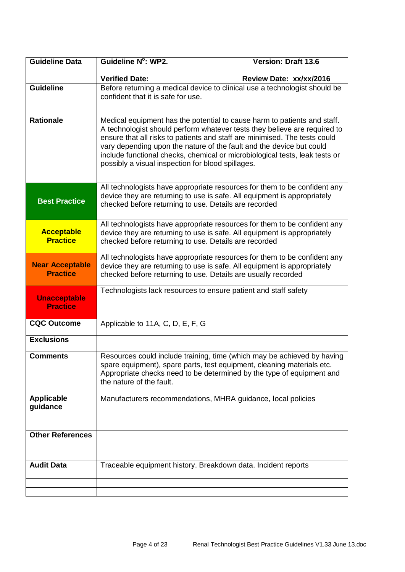| <b>Guideline Data</b>                     | Guideline N°: WP2.                                                                                                                                                                                                                                                                                                                                                                                                                              | <b>Version: Draft 13.6</b> |
|-------------------------------------------|-------------------------------------------------------------------------------------------------------------------------------------------------------------------------------------------------------------------------------------------------------------------------------------------------------------------------------------------------------------------------------------------------------------------------------------------------|----------------------------|
|                                           | <b>Verified Date:</b>                                                                                                                                                                                                                                                                                                                                                                                                                           | Review Date: xx/xx/2016    |
| <b>Guideline</b>                          | Before returning a medical device to clinical use a technologist should be<br>confident that it is safe for use.                                                                                                                                                                                                                                                                                                                                |                            |
| <b>Rationale</b>                          | Medical equipment has the potential to cause harm to patients and staff.<br>A technologist should perform whatever tests they believe are required to<br>ensure that all risks to patients and staff are minimised. The tests could<br>vary depending upon the nature of the fault and the device but could<br>include functional checks, chemical or microbiological tests, leak tests or<br>possibly a visual inspection for blood spillages. |                            |
| <b>Best Practice</b>                      | All technologists have appropriate resources for them to be confident any<br>device they are returning to use is safe. All equipment is appropriately<br>checked before returning to use. Details are recorded                                                                                                                                                                                                                                  |                            |
| <b>Acceptable</b><br><b>Practice</b>      | All technologists have appropriate resources for them to be confident any<br>device they are returning to use is safe. All equipment is appropriately<br>checked before returning to use. Details are recorded                                                                                                                                                                                                                                  |                            |
| <b>Near Acceptable</b><br><b>Practice</b> | All technologists have appropriate resources for them to be confident any<br>device they are returning to use is safe. All equipment is appropriately<br>checked before returning to use. Details are usually recorded                                                                                                                                                                                                                          |                            |
| <b>Unacceptable</b><br><b>Practice</b>    | Technologists lack resources to ensure patient and staff safety                                                                                                                                                                                                                                                                                                                                                                                 |                            |
| <b>CQC Outcome</b>                        | Applicable to 11A, C, D, E, F, G                                                                                                                                                                                                                                                                                                                                                                                                                |                            |
| <b>Exclusions</b>                         |                                                                                                                                                                                                                                                                                                                                                                                                                                                 |                            |
| <b>Comments</b>                           | Resources could include training, time (which may be achieved by having<br>spare equipment), spare parts, test equipment, cleaning materials etc.<br>Appropriate checks need to be determined by the type of equipment and<br>the nature of the fault.                                                                                                                                                                                          |                            |
| <b>Applicable</b><br>guidance             | Manufacturers recommendations, MHRA guidance, local policies                                                                                                                                                                                                                                                                                                                                                                                    |                            |
| <b>Other References</b>                   |                                                                                                                                                                                                                                                                                                                                                                                                                                                 |                            |
| <b>Audit Data</b>                         | Traceable equipment history. Breakdown data. Incident reports                                                                                                                                                                                                                                                                                                                                                                                   |                            |
|                                           |                                                                                                                                                                                                                                                                                                                                                                                                                                                 |                            |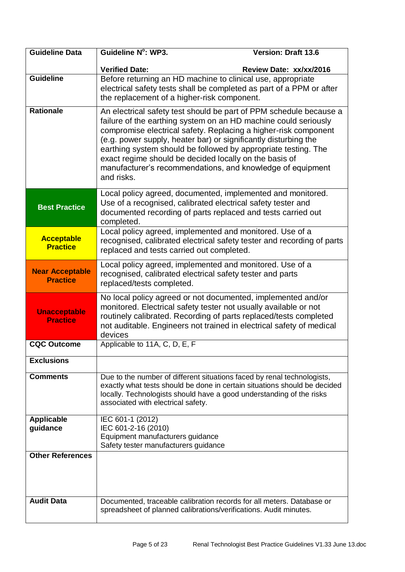| <b>Guideline Data</b>                     | Guideline N°: WP3.                                                                                                                                                                                                                                                                                                                                                                                                                                                                  | <b>Version: Draft 13.6</b> |
|-------------------------------------------|-------------------------------------------------------------------------------------------------------------------------------------------------------------------------------------------------------------------------------------------------------------------------------------------------------------------------------------------------------------------------------------------------------------------------------------------------------------------------------------|----------------------------|
|                                           | <b>Verified Date:</b>                                                                                                                                                                                                                                                                                                                                                                                                                                                               | Review Date: xx/xx/2016    |
| <b>Guideline</b>                          | Before returning an HD machine to clinical use, appropriate<br>electrical safety tests shall be completed as part of a PPM or after<br>the replacement of a higher-risk component.                                                                                                                                                                                                                                                                                                  |                            |
| <b>Rationale</b>                          | An electrical safety test should be part of PPM schedule because a<br>failure of the earthing system on an HD machine could seriously<br>compromise electrical safety. Replacing a higher-risk component<br>(e.g. power supply, heater bar) or significantly disturbing the<br>earthing system should be followed by appropriate testing. The<br>exact regime should be decided locally on the basis of<br>manufacturer's recommendations, and knowledge of equipment<br>and risks. |                            |
| <b>Best Practice</b>                      | Local policy agreed, documented, implemented and monitored.<br>Use of a recognised, calibrated electrical safety tester and<br>documented recording of parts replaced and tests carried out<br>completed.                                                                                                                                                                                                                                                                           |                            |
| <b>Acceptable</b><br><b>Practice</b>      | Local policy agreed, implemented and monitored. Use of a<br>recognised, calibrated electrical safety tester and recording of parts<br>replaced and tests carried out completed.                                                                                                                                                                                                                                                                                                     |                            |
| <b>Near Acceptable</b><br><b>Practice</b> | Local policy agreed, implemented and monitored. Use of a<br>recognised, calibrated electrical safety tester and parts<br>replaced/tests completed.                                                                                                                                                                                                                                                                                                                                  |                            |
| <b>Unacceptable</b><br><b>Practice</b>    | No local policy agreed or not documented, implemented and/or<br>monitored. Electrical safety tester not usually available or not<br>routinely calibrated. Recording of parts replaced/tests completed<br>not auditable. Engineers not trained in electrical safety of medical<br>devices                                                                                                                                                                                            |                            |
| <b>CQC Outcome</b>                        | Applicable to 11A, C, D, E, F                                                                                                                                                                                                                                                                                                                                                                                                                                                       |                            |
| <b>Exclusions</b>                         |                                                                                                                                                                                                                                                                                                                                                                                                                                                                                     |                            |
| <b>Comments</b>                           | Due to the number of different situations faced by renal technologists,<br>exactly what tests should be done in certain situations should be decided<br>locally. Technologists should have a good understanding of the risks<br>associated with electrical safety.                                                                                                                                                                                                                  |                            |
| <b>Applicable</b><br>guidance             | IEC 601-1 (2012)<br>IEC 601-2-16 (2010)<br>Equipment manufacturers guidance<br>Safety tester manufacturers guidance                                                                                                                                                                                                                                                                                                                                                                 |                            |
| <b>Other References</b>                   |                                                                                                                                                                                                                                                                                                                                                                                                                                                                                     |                            |
| <b>Audit Data</b>                         | Documented, traceable calibration records for all meters. Database or<br>spreadsheet of planned calibrations/verifications. Audit minutes.                                                                                                                                                                                                                                                                                                                                          |                            |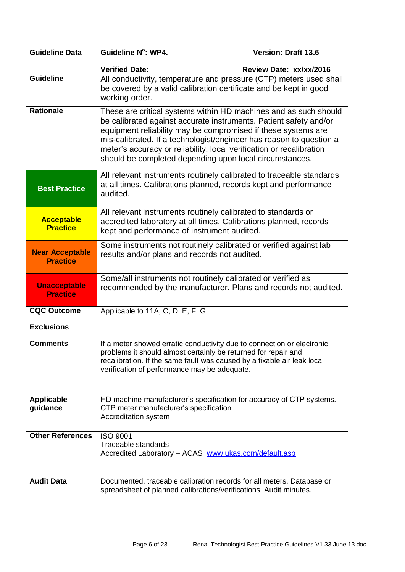| <b>Guideline Data</b>                     | Guideline N°: WP4.                                                                                                                                                                                                                                                                                                                           | <b>Version: Draft 13.6</b>                                         |
|-------------------------------------------|----------------------------------------------------------------------------------------------------------------------------------------------------------------------------------------------------------------------------------------------------------------------------------------------------------------------------------------------|--------------------------------------------------------------------|
|                                           | <b>Verified Date:</b>                                                                                                                                                                                                                                                                                                                        | Review Date: xx/xx/2016                                            |
| <b>Guideline</b>                          | be covered by a valid calibration certificate and be kept in good<br>working order.                                                                                                                                                                                                                                                          | All conductivity, temperature and pressure (CTP) meters used shall |
| <b>Rationale</b>                          | be calibrated against accurate instruments. Patient safety and/or<br>equipment reliability may be compromised if these systems are<br>mis-calibrated. If a technologist/engineer has reason to question a<br>meter's accuracy or reliability, local verification or recalibration<br>should be completed depending upon local circumstances. | These are critical systems within HD machines and as such should   |
| <b>Best Practice</b>                      | All relevant instruments routinely calibrated to traceable standards<br>at all times. Calibrations planned, records kept and performance<br>audited.                                                                                                                                                                                         |                                                                    |
| <b>Acceptable</b><br><b>Practice</b>      | All relevant instruments routinely calibrated to standards or<br>accredited laboratory at all times. Calibrations planned, records<br>kept and performance of instrument audited.                                                                                                                                                            |                                                                    |
| <b>Near Acceptable</b><br><b>Practice</b> | Some instruments not routinely calibrated or verified against lab<br>results and/or plans and records not audited.                                                                                                                                                                                                                           |                                                                    |
| <b>Unacceptable</b><br><b>Practice</b>    | Some/all instruments not routinely calibrated or verified as                                                                                                                                                                                                                                                                                 | recommended by the manufacturer. Plans and records not audited.    |
| CQC Outcome                               | Applicable to 11A, C, D, E, F, G                                                                                                                                                                                                                                                                                                             |                                                                    |
| <b>Exclusions</b>                         |                                                                                                                                                                                                                                                                                                                                              |                                                                    |
| <b>Comments</b>                           | If a meter showed erratic conductivity due to connection or electronic<br>problems it should almost certainly be returned for repair and<br>recalibration. If the same fault was caused by a fixable air leak local<br>verification of performance may be adequate.                                                                          |                                                                    |
| <b>Applicable</b><br>guidance             | HD machine manufacturer's specification for accuracy of CTP systems.<br>CTP meter manufacturer's specification<br>Accreditation system                                                                                                                                                                                                       |                                                                    |
| <b>Other References</b>                   | <b>ISO 9001</b><br>Traceable standards -<br>Accredited Laboratory - ACAS www.ukas.com/default.asp                                                                                                                                                                                                                                            |                                                                    |
| <b>Audit Data</b>                         | Documented, traceable calibration records for all meters. Database or<br>spreadsheet of planned calibrations/verifications. Audit minutes.                                                                                                                                                                                                   |                                                                    |
|                                           |                                                                                                                                                                                                                                                                                                                                              |                                                                    |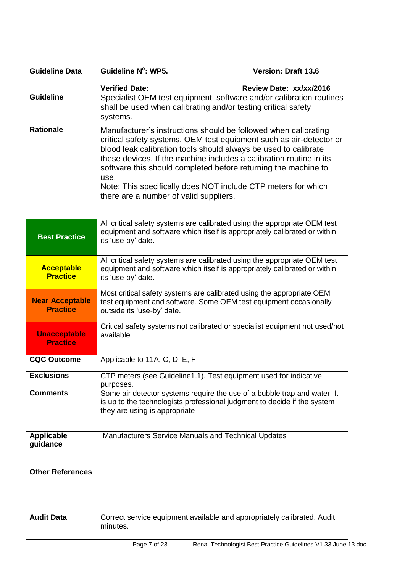| <b>Guideline Data</b>                     | Guideline N°: WP5.                                                                                                | <b>Version: Draft 13.6</b>                                                                                                                                                                                                                                                                                                                       |
|-------------------------------------------|-------------------------------------------------------------------------------------------------------------------|--------------------------------------------------------------------------------------------------------------------------------------------------------------------------------------------------------------------------------------------------------------------------------------------------------------------------------------------------|
|                                           | <b>Verified Date:</b>                                                                                             | Review Date: xx/xx/2016                                                                                                                                                                                                                                                                                                                          |
| <b>Guideline</b>                          | shall be used when calibrating and/or testing critical safety<br>systems.                                         | Specialist OEM test equipment, software and/or calibration routines                                                                                                                                                                                                                                                                              |
| <b>Rationale</b>                          | blood leak calibration tools should always be used to calibrate<br>use.<br>there are a number of valid suppliers. | Manufacturer's instructions should be followed when calibrating<br>critical safety systems. OEM test equipment such as air-detector or<br>these devices. If the machine includes a calibration routine in its<br>software this should completed before returning the machine to<br>Note: This specifically does NOT include CTP meters for which |
| <b>Best Practice</b>                      | its 'use-by' date.                                                                                                | All critical safety systems are calibrated using the appropriate OEM test<br>equipment and software which itself is appropriately calibrated or within                                                                                                                                                                                           |
| <b>Acceptable</b><br><b>Practice</b>      | its 'use-by' date.                                                                                                | All critical safety systems are calibrated using the appropriate OEM test<br>equipment and software which itself is appropriately calibrated or within                                                                                                                                                                                           |
| <b>Near Acceptable</b><br><b>Practice</b> | outside its 'use-by' date.                                                                                        | Most critical safety systems are calibrated using the appropriate OEM<br>test equipment and software. Some OEM test equipment occasionally                                                                                                                                                                                                       |
| <b>Unacceptable</b><br><b>Practice</b>    | available                                                                                                         | Critical safety systems not calibrated or specialist equipment not used/not                                                                                                                                                                                                                                                                      |
| <b>CQC Outcome</b>                        | Applicable to 11A, C, D, E, F                                                                                     |                                                                                                                                                                                                                                                                                                                                                  |
| <b>Exclusions</b>                         | CTP meters (see Guideline1.1). Test equipment used for indicative<br>purposes.                                    |                                                                                                                                                                                                                                                                                                                                                  |
| <b>Comments</b>                           | they are using is appropriate                                                                                     | Some air detector systems require the use of a bubble trap and water. It<br>is up to the technologists professional judgment to decide if the system                                                                                                                                                                                             |
| <b>Applicable</b><br>guidance             | Manufacturers Service Manuals and Technical Updates                                                               |                                                                                                                                                                                                                                                                                                                                                  |
| <b>Other References</b>                   |                                                                                                                   |                                                                                                                                                                                                                                                                                                                                                  |
| <b>Audit Data</b>                         | minutes.                                                                                                          | Correct service equipment available and appropriately calibrated. Audit                                                                                                                                                                                                                                                                          |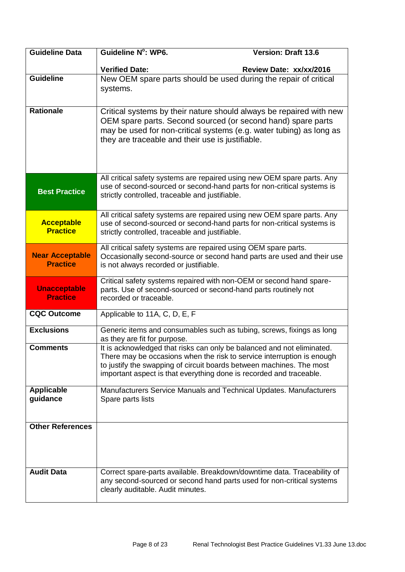| <b>Guideline Data</b>                     | Guideline N°: WP6.                                                                                                                                                                                                                                                                              | <b>Version: Draft 13.6</b> |
|-------------------------------------------|-------------------------------------------------------------------------------------------------------------------------------------------------------------------------------------------------------------------------------------------------------------------------------------------------|----------------------------|
|                                           | <b>Verified Date:</b>                                                                                                                                                                                                                                                                           | Review Date: xx/xx/2016    |
| <b>Guideline</b>                          | New OEM spare parts should be used during the repair of critical<br>systems.                                                                                                                                                                                                                    |                            |
| <b>Rationale</b>                          | Critical systems by their nature should always be repaired with new<br>OEM spare parts. Second sourced (or second hand) spare parts<br>may be used for non-critical systems (e.g. water tubing) as long as<br>they are traceable and their use is justifiable.                                  |                            |
| <b>Best Practice</b>                      | All critical safety systems are repaired using new OEM spare parts. Any<br>use of second-sourced or second-hand parts for non-critical systems is<br>strictly controlled, traceable and justifiable.                                                                                            |                            |
| <b>Acceptable</b><br><b>Practice</b>      | All critical safety systems are repaired using new OEM spare parts. Any<br>use of second-sourced or second-hand parts for non-critical systems is<br>strictly controlled, traceable and justifiable.                                                                                            |                            |
| <b>Near Acceptable</b><br><b>Practice</b> | All critical safety systems are repaired using OEM spare parts.<br>Occasionally second-source or second hand parts are used and their use<br>is not always recorded or justifiable.                                                                                                             |                            |
| <b>Unacceptable</b><br><b>Practice</b>    | Critical safety systems repaired with non-OEM or second hand spare-<br>parts. Use of second-sourced or second-hand parts routinely not<br>recorded or traceable.                                                                                                                                |                            |
| <b>CQC Outcome</b>                        | Applicable to 11A, C, D, E, F                                                                                                                                                                                                                                                                   |                            |
| <b>Exclusions</b>                         | Generic items and consumables such as tubing, screws, fixings as long<br>as they are fit for purpose.                                                                                                                                                                                           |                            |
| <b>Comments</b>                           | It is acknowledged that risks can only be balanced and not eliminated.<br>There may be occasions when the risk to service interruption is enough<br>to justify the swapping of circuit boards between machines. The most<br>important aspect is that everything done is recorded and traceable. |                            |
| <b>Applicable</b><br>guidance             | Manufacturers Service Manuals and Technical Updates. Manufacturers<br>Spare parts lists                                                                                                                                                                                                         |                            |
| <b>Other References</b>                   |                                                                                                                                                                                                                                                                                                 |                            |
| <b>Audit Data</b>                         | Correct spare-parts available. Breakdown/downtime data. Traceability of<br>any second-sourced or second hand parts used for non-critical systems<br>clearly auditable. Audit minutes.                                                                                                           |                            |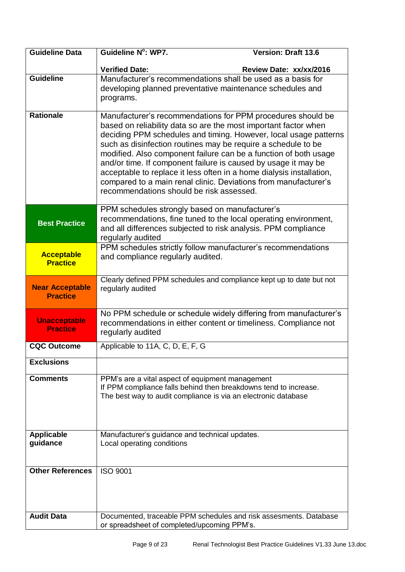| <b>Guideline Data</b>                     | Guideline N°: WP7.                                                                                                                                                                                                                                                                                                                                                                                                                                                                                                                                                                               | <b>Version: Draft 13.6</b> |
|-------------------------------------------|--------------------------------------------------------------------------------------------------------------------------------------------------------------------------------------------------------------------------------------------------------------------------------------------------------------------------------------------------------------------------------------------------------------------------------------------------------------------------------------------------------------------------------------------------------------------------------------------------|----------------------------|
|                                           | <b>Verified Date:</b>                                                                                                                                                                                                                                                                                                                                                                                                                                                                                                                                                                            | Review Date: xx/xx/2016    |
| <b>Guideline</b>                          | Manufacturer's recommendations shall be used as a basis for<br>developing planned preventative maintenance schedules and<br>programs.                                                                                                                                                                                                                                                                                                                                                                                                                                                            |                            |
| <b>Rationale</b>                          | Manufacturer's recommendations for PPM procedures should be<br>based on reliability data so are the most important factor when<br>deciding PPM schedules and timing. However, local usage patterns<br>such as disinfection routines may be require a schedule to be<br>modified. Also component failure can be a function of both usage<br>and/or time. If component failure is caused by usage it may be<br>acceptable to replace it less often in a home dialysis installation,<br>compared to a main renal clinic. Deviations from manufacturer's<br>recommendations should be risk assessed. |                            |
| <b>Best Practice</b>                      | PPM schedules strongly based on manufacturer's<br>recommendations, fine tuned to the local operating environment,<br>and all differences subjected to risk analysis. PPM compliance<br>regularly audited                                                                                                                                                                                                                                                                                                                                                                                         |                            |
| <b>Acceptable</b><br><b>Practice</b>      | PPM schedules strictly follow manufacturer's recommendations<br>and compliance regularly audited.                                                                                                                                                                                                                                                                                                                                                                                                                                                                                                |                            |
| <b>Near Acceptable</b><br><b>Practice</b> | Clearly defined PPM schedules and compliance kept up to date but not<br>regularly audited                                                                                                                                                                                                                                                                                                                                                                                                                                                                                                        |                            |
| <b>Unacceptable</b><br><b>Practice</b>    | No PPM schedule or schedule widely differing from manufacturer's<br>recommendations in either content or timeliness. Compliance not<br>regularly audited                                                                                                                                                                                                                                                                                                                                                                                                                                         |                            |
| <b>CQC Outcome</b>                        | Applicable to 11A, C, D, E, F, G                                                                                                                                                                                                                                                                                                                                                                                                                                                                                                                                                                 |                            |
| <b>Exclusions</b>                         |                                                                                                                                                                                                                                                                                                                                                                                                                                                                                                                                                                                                  |                            |
| <b>Comments</b>                           | PPM's are a vital aspect of equipment management<br>If PPM compliance falls behind then breakdowns tend to increase.<br>The best way to audit compliance is via an electronic database                                                                                                                                                                                                                                                                                                                                                                                                           |                            |
| <b>Applicable</b><br>guidance             | Manufacturer's guidance and technical updates.<br>Local operating conditions                                                                                                                                                                                                                                                                                                                                                                                                                                                                                                                     |                            |
| <b>Other References</b>                   | <b>ISO 9001</b>                                                                                                                                                                                                                                                                                                                                                                                                                                                                                                                                                                                  |                            |
| <b>Audit Data</b>                         | Documented, traceable PPM schedules and risk assesments. Database<br>or spreadsheet of completed/upcoming PPM's.                                                                                                                                                                                                                                                                                                                                                                                                                                                                                 |                            |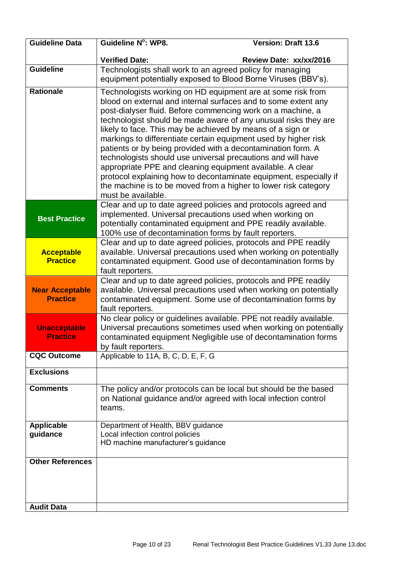| <b>Guideline Data</b>                     | Guideline N°: WP8.                                                                                                                            | <b>Version: Draft 13.6</b>                                                                                                                                                                                                                                                                                                                                                                                                                                                                                                                                                                                 |
|-------------------------------------------|-----------------------------------------------------------------------------------------------------------------------------------------------|------------------------------------------------------------------------------------------------------------------------------------------------------------------------------------------------------------------------------------------------------------------------------------------------------------------------------------------------------------------------------------------------------------------------------------------------------------------------------------------------------------------------------------------------------------------------------------------------------------|
|                                           | <b>Verified Date:</b>                                                                                                                         | Review Date: xx/xx/2016                                                                                                                                                                                                                                                                                                                                                                                                                                                                                                                                                                                    |
| <b>Guideline</b>                          | Technologists shall work to an agreed policy for managing<br>equipment potentially exposed to Blood Borne Viruses (BBV's).                    |                                                                                                                                                                                                                                                                                                                                                                                                                                                                                                                                                                                                            |
| <b>Rationale</b>                          | likely to face. This may be achieved by means of a sign or<br>appropriate PPE and cleaning equipment available. A clear<br>must be available. | Technologists working on HD equipment are at some risk from<br>blood on external and internal surfaces and to some extent any<br>post-dialyser fluid. Before commencing work on a machine, a<br>technologist should be made aware of any unusual risks they are<br>markings to differentiate certain equipment used by higher risk<br>patients or by being provided with a decontamination form. A<br>technologists should use universal precautions and will have<br>protocol explaining how to decontaminate equipment, especially if<br>the machine is to be moved from a higher to lower risk category |
| <b>Best Practice</b>                      | implemented. Universal precautions used when working on<br>100% use of decontamination forms by fault reporters.                              | Clear and up to date agreed policies and protocols agreed and<br>potentially contaminated equipment and PPE readily available.                                                                                                                                                                                                                                                                                                                                                                                                                                                                             |
| <b>Acceptable</b><br><b>Practice</b>      | fault reporters.                                                                                                                              | Clear and up to date agreed policies, protocols and PPE readily<br>available. Universal precautions used when working on potentially<br>contaminated equipment. Good use of decontamination forms by                                                                                                                                                                                                                                                                                                                                                                                                       |
| <b>Near Acceptable</b><br><b>Practice</b> | fault reporters.                                                                                                                              | Clear and up to date agreed policies, protocols and PPE readily<br>available. Universal precautions used when working on potentially<br>contaminated equipment. Some use of decontamination forms by                                                                                                                                                                                                                                                                                                                                                                                                       |
| <b>Unacceptable</b><br><b>Practice</b>    | by fault reporters.                                                                                                                           | No clear policy or guidelines available. PPE not readily available.<br>Universal precautions sometimes used when working on potentially<br>contaminated equipment Negligible use of decontamination forms                                                                                                                                                                                                                                                                                                                                                                                                  |
| <b>CQC Outcome</b>                        | Applicable to 11A, B, C, D, E, F, G                                                                                                           |                                                                                                                                                                                                                                                                                                                                                                                                                                                                                                                                                                                                            |
| <b>Exclusions</b>                         |                                                                                                                                               |                                                                                                                                                                                                                                                                                                                                                                                                                                                                                                                                                                                                            |
| <b>Comments</b>                           | teams.                                                                                                                                        | The policy and/or protocols can be local but should be the based<br>on National guidance and/or agreed with local infection control                                                                                                                                                                                                                                                                                                                                                                                                                                                                        |
| <b>Applicable</b><br>guidance             | Department of Health, BBV guidance<br>Local infection control policies<br>HD machine manufacturer's guidance                                  |                                                                                                                                                                                                                                                                                                                                                                                                                                                                                                                                                                                                            |
| <b>Other References</b>                   |                                                                                                                                               |                                                                                                                                                                                                                                                                                                                                                                                                                                                                                                                                                                                                            |
| <b>Audit Data</b>                         |                                                                                                                                               |                                                                                                                                                                                                                                                                                                                                                                                                                                                                                                                                                                                                            |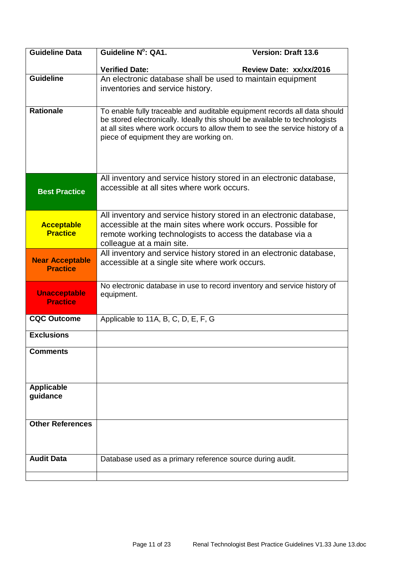| <b>Guideline Data</b>                  | Guideline N°: QA1.                                                                                                                                                                                     | <b>Version: Draft 13.6</b> |
|----------------------------------------|--------------------------------------------------------------------------------------------------------------------------------------------------------------------------------------------------------|----------------------------|
|                                        | <b>Verified Date:</b>                                                                                                                                                                                  | Review Date: xx/xx/2016    |
| <b>Guideline</b>                       | An electronic database shall be used to maintain equipment                                                                                                                                             |                            |
|                                        | inventories and service history.                                                                                                                                                                       |                            |
| <b>Rationale</b>                       | To enable fully traceable and auditable equipment records all data should                                                                                                                              |                            |
|                                        | be stored electronically. Ideally this should be available to technologists<br>at all sites where work occurs to allow them to see the service history of a<br>piece of equipment they are working on. |                            |
| <b>Best Practice</b>                   | All inventory and service history stored in an electronic database,<br>accessible at all sites where work occurs.                                                                                      |                            |
|                                        | All inventory and service history stored in an electronic database,<br>accessible at the main sites where work occurs. Possible for                                                                    |                            |
| <b>Acceptable</b><br><b>Practice</b>   | remote working technologists to access the database via a                                                                                                                                              |                            |
|                                        | colleague at a main site.                                                                                                                                                                              |                            |
| <b>Near Acceptable</b>                 | All inventory and service history stored in an electronic database,<br>accessible at a single site where work occurs.                                                                                  |                            |
| <b>Practice</b>                        |                                                                                                                                                                                                        |                            |
| <b>Unacceptable</b><br><b>Practice</b> | No electronic database in use to record inventory and service history of<br>equipment.                                                                                                                 |                            |
| <b>CQC Outcome</b>                     | Applicable to 11A, B, C, D, E, F, G                                                                                                                                                                    |                            |
| <b>Exclusions</b>                      |                                                                                                                                                                                                        |                            |
| <b>Comments</b>                        |                                                                                                                                                                                                        |                            |
| <b>Applicable</b><br>guidance          |                                                                                                                                                                                                        |                            |
|                                        |                                                                                                                                                                                                        |                            |
| <b>Other References</b>                |                                                                                                                                                                                                        |                            |
|                                        |                                                                                                                                                                                                        |                            |
| <b>Audit Data</b>                      | Database used as a primary reference source during audit.                                                                                                                                              |                            |
|                                        |                                                                                                                                                                                                        |                            |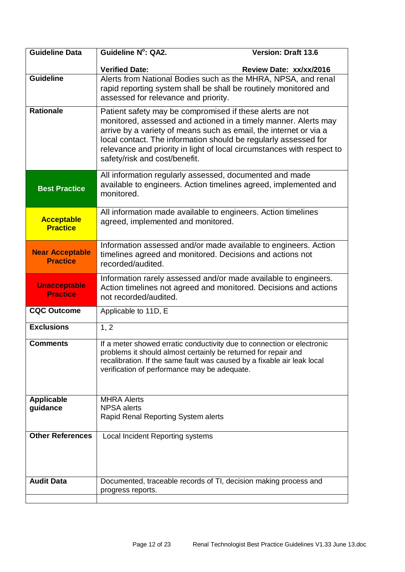| <b>Guideline Data</b>                     | Guideline N°: QA2.                                                                                                                                                                                                                                                                                                                                                              | <b>Version: Draft 13.6</b>                                       |
|-------------------------------------------|---------------------------------------------------------------------------------------------------------------------------------------------------------------------------------------------------------------------------------------------------------------------------------------------------------------------------------------------------------------------------------|------------------------------------------------------------------|
|                                           | <b>Verified Date:</b>                                                                                                                                                                                                                                                                                                                                                           | Review Date: xx/xx/2016                                          |
| <b>Guideline</b>                          | rapid reporting system shall be shall be routinely monitored and<br>assessed for relevance and priority.                                                                                                                                                                                                                                                                        | Alerts from National Bodies such as the MHRA, NPSA, and renal    |
| <b>Rationale</b>                          | Patient safety may be compromised if these alerts are not<br>monitored, assessed and actioned in a timely manner. Alerts may<br>arrive by a variety of means such as email, the internet or via a<br>local contact. The information should be regularly assessed for<br>relevance and priority in light of local circumstances with respect to<br>safety/risk and cost/benefit. |                                                                  |
| <b>Best Practice</b>                      | All information regularly assessed, documented and made<br>monitored.                                                                                                                                                                                                                                                                                                           | available to engineers. Action timelines agreed, implemented and |
| <b>Acceptable</b><br><b>Practice</b>      | All information made available to engineers. Action timelines<br>agreed, implemented and monitored.                                                                                                                                                                                                                                                                             |                                                                  |
| <b>Near Acceptable</b><br><b>Practice</b> | timelines agreed and monitored. Decisions and actions not<br>recorded/audited.                                                                                                                                                                                                                                                                                                  | Information assessed and/or made available to engineers. Action  |
| <b>Unacceptable</b><br><b>Practice</b>    | Information rarely assessed and/or made available to engineers.<br>not recorded/audited.                                                                                                                                                                                                                                                                                        | Action timelines not agreed and monitored. Decisions and actions |
| <b>CQC Outcome</b>                        | Applicable to 11D, E                                                                                                                                                                                                                                                                                                                                                            |                                                                  |
| <b>Exclusions</b>                         | 1, 2                                                                                                                                                                                                                                                                                                                                                                            |                                                                  |
| <b>Comments</b>                           | If a meter showed erratic conductivity due to connection or electronic<br>problems it should almost certainly be returned for repair and<br>recalibration. If the same fault was caused by a fixable air leak local<br>verification of performance may be adequate.                                                                                                             |                                                                  |
| <b>Applicable</b><br>guidance             | <b>MHRA Alerts</b><br><b>NPSA</b> alerts<br>Rapid Renal Reporting System alerts                                                                                                                                                                                                                                                                                                 |                                                                  |
| <b>Other References</b>                   | Local Incident Reporting systems                                                                                                                                                                                                                                                                                                                                                |                                                                  |
| <b>Audit Data</b>                         | Documented, traceable records of TI, decision making process and<br>progress reports.                                                                                                                                                                                                                                                                                           |                                                                  |
|                                           |                                                                                                                                                                                                                                                                                                                                                                                 |                                                                  |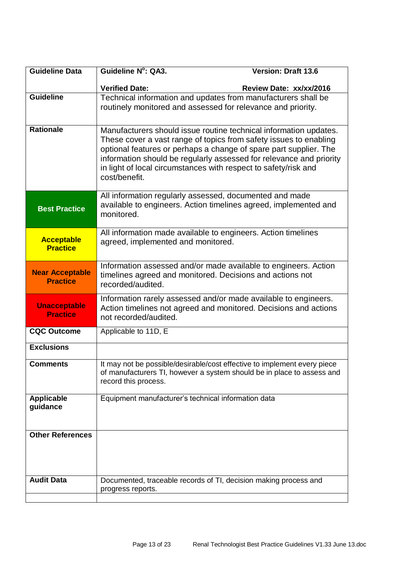| <b>Guideline Data</b>                     | <b>Guideline N°: QA3.</b>                                                                                                                                                                                                                                                                                                                                              | <b>Version: Draft 13.6</b>                                                                                                                         |
|-------------------------------------------|------------------------------------------------------------------------------------------------------------------------------------------------------------------------------------------------------------------------------------------------------------------------------------------------------------------------------------------------------------------------|----------------------------------------------------------------------------------------------------------------------------------------------------|
|                                           | <b>Verified Date:</b>                                                                                                                                                                                                                                                                                                                                                  | Review Date: xx/xx/2016                                                                                                                            |
| <b>Guideline</b>                          | Technical information and updates from manufacturers shall be                                                                                                                                                                                                                                                                                                          |                                                                                                                                                    |
|                                           |                                                                                                                                                                                                                                                                                                                                                                        | routinely monitored and assessed for relevance and priority.                                                                                       |
| <b>Rationale</b>                          | Manufacturers should issue routine technical information updates.<br>These cover a vast range of topics from safety issues to enabling<br>optional features or perhaps a change of spare part supplier. The<br>information should be regularly assessed for relevance and priority<br>in light of local circumstances with respect to safety/risk and<br>cost/benefit. |                                                                                                                                                    |
| <b>Best Practice</b>                      | monitored.                                                                                                                                                                                                                                                                                                                                                             | All information regularly assessed, documented and made<br>available to engineers. Action timelines agreed, implemented and                        |
| <b>Acceptable</b><br><b>Practice</b>      | All information made available to engineers. Action timelines<br>agreed, implemented and monitored.                                                                                                                                                                                                                                                                    |                                                                                                                                                    |
| <b>Near Acceptable</b><br><b>Practice</b> | Information assessed and/or made available to engineers. Action<br>timelines agreed and monitored. Decisions and actions not<br>recorded/audited.                                                                                                                                                                                                                      |                                                                                                                                                    |
| <b>Unacceptable</b><br><b>Practice</b>    | Information rarely assessed and/or made available to engineers.<br>Action timelines not agreed and monitored. Decisions and actions<br>not recorded/audited.                                                                                                                                                                                                           |                                                                                                                                                    |
| <b>CQC Outcome</b>                        | Applicable to 11D, E                                                                                                                                                                                                                                                                                                                                                   |                                                                                                                                                    |
| <b>Exclusions</b>                         |                                                                                                                                                                                                                                                                                                                                                                        |                                                                                                                                                    |
| <b>Comments</b>                           | record this process.                                                                                                                                                                                                                                                                                                                                                   | It may not be possible/desirable/cost effective to implement every piece<br>of manufacturers TI, however a system should be in place to assess and |
| <b>Applicable</b><br>guidance             | Equipment manufacturer's technical information data                                                                                                                                                                                                                                                                                                                    |                                                                                                                                                    |
| <b>Other References</b>                   |                                                                                                                                                                                                                                                                                                                                                                        |                                                                                                                                                    |
| <b>Audit Data</b>                         | progress reports.                                                                                                                                                                                                                                                                                                                                                      | Documented, traceable records of TI, decision making process and                                                                                   |
|                                           |                                                                                                                                                                                                                                                                                                                                                                        |                                                                                                                                                    |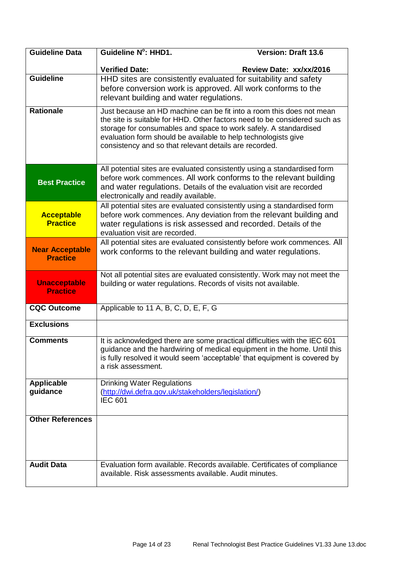| <b>Guideline Data</b>                     | Guideline N°: HHD1.                                                                                                                                                                                                                                                                                                                               | <b>Version: Draft 13.6</b> |
|-------------------------------------------|---------------------------------------------------------------------------------------------------------------------------------------------------------------------------------------------------------------------------------------------------------------------------------------------------------------------------------------------------|----------------------------|
|                                           | <b>Verified Date:</b>                                                                                                                                                                                                                                                                                                                             | Review Date: xx/xx/2016    |
| <b>Guideline</b>                          | HHD sites are consistently evaluated for suitability and safety<br>before conversion work is approved. All work conforms to the<br>relevant building and water regulations.                                                                                                                                                                       |                            |
| <b>Rationale</b>                          | Just because an HD machine can be fit into a room this does not mean<br>the site is suitable for HHD. Other factors need to be considered such as<br>storage for consumables and space to work safely. A standardised<br>evaluation form should be available to help technologists give<br>consistency and so that relevant details are recorded. |                            |
| <b>Best Practice</b>                      | All potential sites are evaluated consistently using a standardised form<br>before work commences. All work conforms to the relevant building<br>and water regulations. Details of the evaluation visit are recorded<br>electronically and readily available.                                                                                     |                            |
| <b>Acceptable</b><br><b>Practice</b>      | All potential sites are evaluated consistently using a standardised form<br>before work commences. Any deviation from the relevant building and<br>water regulations is risk assessed and recorded. Details of the<br>evaluation visit are recorded.                                                                                              |                            |
| <b>Near Acceptable</b><br><b>Practice</b> | All potential sites are evaluated consistently before work commences. All<br>work conforms to the relevant building and water regulations.                                                                                                                                                                                                        |                            |
| <b>Unacceptable</b><br><b>Practice</b>    | Not all potential sites are evaluated consistently. Work may not meet the<br>building or water regulations. Records of visits not available.                                                                                                                                                                                                      |                            |
| <b>CQC Outcome</b>                        | Applicable to 11 A, B, C, D, E, F, G                                                                                                                                                                                                                                                                                                              |                            |
| <b>Exclusions</b>                         |                                                                                                                                                                                                                                                                                                                                                   |                            |
| <b>Comments</b>                           | It is acknowledged there are some practical difficulties with the IEC 601<br>guidance and the hardwiring of medical equipment in the home. Until this<br>is fully resolved it would seem 'acceptable' that equipment is covered by<br>a risk assessment.                                                                                          |                            |
| <b>Applicable</b><br>guidance             | <b>Drinking Water Regulations</b><br>(http://dwi.defra.gov.uk/stakeholders/legislation/)<br><b>IEC 601</b>                                                                                                                                                                                                                                        |                            |
| <b>Other References</b>                   |                                                                                                                                                                                                                                                                                                                                                   |                            |
| <b>Audit Data</b>                         | Evaluation form available. Records available. Certificates of compliance<br>available. Risk assessments available. Audit minutes.                                                                                                                                                                                                                 |                            |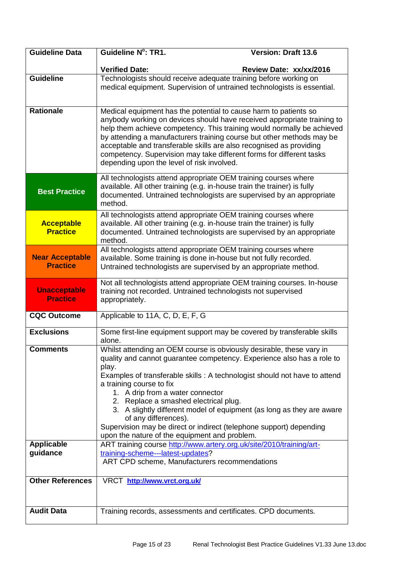| <b>Guideline Data</b>                     | Guideline N°: TR1.                                                                                                                                                                      | <b>Version: Draft 13.6</b>                                                                                                                                                                                                                                                                                                                                                                                                                           |
|-------------------------------------------|-----------------------------------------------------------------------------------------------------------------------------------------------------------------------------------------|------------------------------------------------------------------------------------------------------------------------------------------------------------------------------------------------------------------------------------------------------------------------------------------------------------------------------------------------------------------------------------------------------------------------------------------------------|
|                                           | <b>Verified Date:</b>                                                                                                                                                                   | Review Date: xx/xx/2016                                                                                                                                                                                                                                                                                                                                                                                                                              |
| <b>Guideline</b>                          |                                                                                                                                                                                         | Technologists should receive adequate training before working on<br>medical equipment. Supervision of untrained technologists is essential.                                                                                                                                                                                                                                                                                                          |
| <b>Rationale</b>                          | depending upon the level of risk involved.                                                                                                                                              | Medical equipment has the potential to cause harm to patients so<br>anybody working on devices should have received appropriate training to<br>help them achieve competency. This training would normally be achieved<br>by attending a manufacturers training course but other methods may be<br>acceptable and transferable skills are also recognised as providing<br>competency. Supervision may take different forms for different tasks        |
| <b>Best Practice</b>                      | method.                                                                                                                                                                                 | All technologists attend appropriate OEM training courses where<br>available. All other training (e.g. in-house train the trainer) is fully<br>documented. Untrained technologists are supervised by an appropriate                                                                                                                                                                                                                                  |
| <b>Acceptable</b><br><b>Practice</b>      | method.                                                                                                                                                                                 | All technologists attend appropriate OEM training courses where<br>available. All other training (e.g. in-house train the trainer) is fully<br>documented. Untrained technologists are supervised by an appropriate                                                                                                                                                                                                                                  |
| <b>Near Acceptable</b><br><b>Practice</b> | All technologists attend appropriate OEM training courses where<br>available. Some training is done in-house but not fully recorded.                                                    | Untrained technologists are supervised by an appropriate method.                                                                                                                                                                                                                                                                                                                                                                                     |
| <b>Unacceptable</b><br><b>Practice</b>    | training not recorded. Untrained technologists not supervised<br>appropriately.                                                                                                         | Not all technologists attend appropriate OEM training courses. In-house                                                                                                                                                                                                                                                                                                                                                                              |
| <b>CQC Outcome</b>                        | Applicable to 11A, C, D, E, F, G                                                                                                                                                        |                                                                                                                                                                                                                                                                                                                                                                                                                                                      |
| <b>Exclusions</b>                         | alone.                                                                                                                                                                                  | Some first-line equipment support may be covered by transferable skills                                                                                                                                                                                                                                                                                                                                                                              |
| <b>Comments</b><br><b>Applicable</b>      | play.<br>a training course to fix<br>1. A drip from a water connector<br>2. Replace a smashed electrical plug.<br>of any differences).<br>upon the nature of the equipment and problem. | Whilst attending an OEM course is obviously desirable, these vary in<br>quality and cannot guarantee competency. Experience also has a role to<br>Examples of transferable skills : A technologist should not have to attend<br>3. A slightly different model of equipment (as long as they are aware<br>Supervision may be direct or indirect (telephone support) depending<br>ART training course http://www.artery.org.uk/site/2010/training/art- |
| guidance                                  | training-scheme---latest-updates?<br>ART CPD scheme, Manufacturers recommendations                                                                                                      |                                                                                                                                                                                                                                                                                                                                                                                                                                                      |
| <b>Other References</b>                   | VRCT http://www.vrct.org.uk/                                                                                                                                                            |                                                                                                                                                                                                                                                                                                                                                                                                                                                      |
| <b>Audit Data</b>                         |                                                                                                                                                                                         | Training records, assessments and certificates. CPD documents.                                                                                                                                                                                                                                                                                                                                                                                       |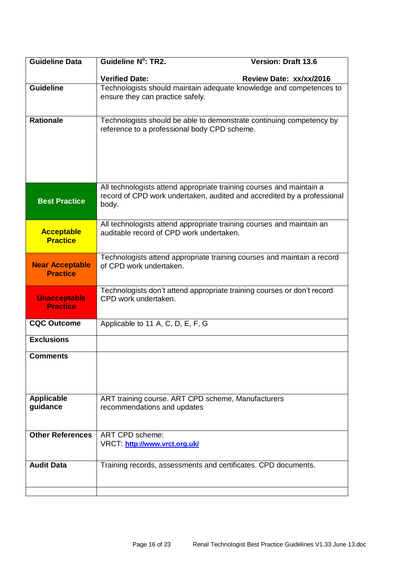| <b>Guideline Data</b>                     | <b>Guideline N°: TR2.</b>                                                                                         | <b>Version: Draft 13.6</b>                                              |
|-------------------------------------------|-------------------------------------------------------------------------------------------------------------------|-------------------------------------------------------------------------|
|                                           | <b>Verified Date:</b>                                                                                             | Review Date: xx/xx/2016                                                 |
| <b>Guideline</b>                          | ensure they can practice safely.                                                                                  | Technologists should maintain adequate knowledge and competences to     |
| <b>Rationale</b>                          | reference to a professional body CPD scheme.                                                                      | Technologists should be able to demonstrate continuing competency by    |
| <b>Best Practice</b>                      | All technologists attend appropriate training courses and maintain a<br>body.                                     | record of CPD work undertaken, audited and accredited by a professional |
| <b>Acceptable</b><br><b>Practice</b>      | All technologists attend appropriate training courses and maintain an<br>auditable record of CPD work undertaken. |                                                                         |
| <b>Near Acceptable</b><br><b>Practice</b> | of CPD work undertaken.                                                                                           | Technologists attend appropriate training courses and maintain a record |
| <b>Unacceptable</b><br><b>Practice</b>    | Technologists don't attend appropriate training courses or don't record<br>CPD work undertaken.                   |                                                                         |
| <b>CQC Outcome</b>                        | Applicable to 11 A, C, D, E, F, G                                                                                 |                                                                         |
| <b>Exclusions</b>                         |                                                                                                                   |                                                                         |
| <b>Comments</b>                           |                                                                                                                   |                                                                         |
| <b>Applicable</b><br>guidance             | ART training course. ART CPD scheme, Manufacturers<br>recommendations and updates                                 |                                                                         |
| <b>Other References</b>                   | ART CPD scheme:<br>VRCT: http://www.vrct.org.uk/                                                                  |                                                                         |
| <b>Audit Data</b>                         | Training records, assessments and certificates. CPD documents.                                                    |                                                                         |
|                                           |                                                                                                                   |                                                                         |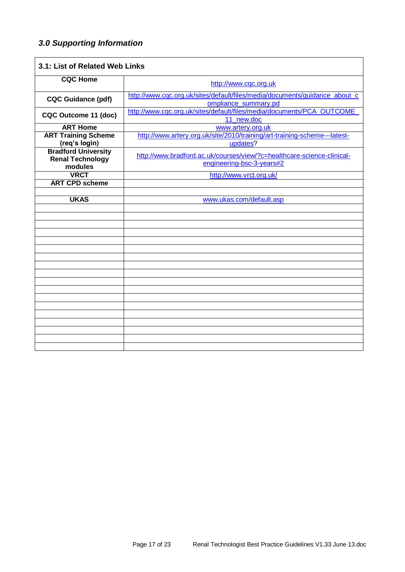# *3.0 Supporting Information*

| 3.1: List of Related Web Links                                   |                                                                                                     |
|------------------------------------------------------------------|-----------------------------------------------------------------------------------------------------|
| <b>CQC Home</b>                                                  | http://www.cqc.org.uk                                                                               |
| <b>CQC Guidance (pdf)</b>                                        | http://www.cqc.org.uk/sites/default/files/media/documents/guidance_about_c<br>ompliance_summary.pd  |
| CQC Outcome 11 (doc)                                             | http://www.cqc.org.uk/sites/default/files/media/documents/PCA_OUTCOME_<br>11 new.doc                |
| <b>ART Home</b>                                                  | www.artery.org.uk                                                                                   |
| <b>ART Training Scheme</b>                                       | http://www.artery.org.uk/site/2010/training/art-training-scheme---latest-                           |
| (req's login)                                                    | updates?                                                                                            |
| <b>Bradford University</b><br><b>Renal Technology</b><br>modules | http://www.bradford.ac.uk/courses/view/?c=healthcare-science-clinical-<br>engineering-bsc-3-years#2 |
| <b>VRCT</b>                                                      | http://www.vrct.org.uk/                                                                             |
| <b>ART CPD scheme</b>                                            |                                                                                                     |
|                                                                  |                                                                                                     |
| <b>UKAS</b>                                                      | www.ukas.com/default.asp                                                                            |
|                                                                  |                                                                                                     |
|                                                                  |                                                                                                     |
|                                                                  |                                                                                                     |
|                                                                  |                                                                                                     |
|                                                                  |                                                                                                     |
|                                                                  |                                                                                                     |
|                                                                  |                                                                                                     |
|                                                                  |                                                                                                     |
|                                                                  |                                                                                                     |
|                                                                  |                                                                                                     |
|                                                                  |                                                                                                     |
|                                                                  |                                                                                                     |
|                                                                  |                                                                                                     |
|                                                                  |                                                                                                     |
|                                                                  |                                                                                                     |
|                                                                  |                                                                                                     |
|                                                                  |                                                                                                     |
|                                                                  |                                                                                                     |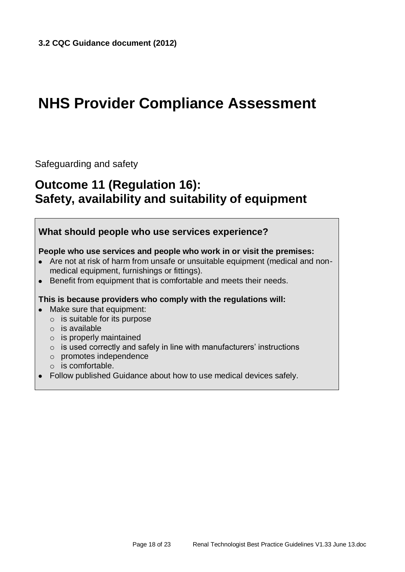# **NHS Provider Compliance Assessment**

Safeguarding and safety

# **Outcome 11 (Regulation 16): Safety, availability and suitability of equipment**

# **What should people who use services experience?**

### **People who use services and people who work in or visit the premises:**

- Are not at risk of harm from unsafe or unsuitable equipment (medical and nonmedical equipment, furnishings or fittings).
- Benefit from equipment that is comfortable and meets their needs.

### **This is because providers who comply with the regulations will:**

- Make sure that equipment:
	- o is suitable for its purpose
	- o is available
	- $\circ$  is properly maintained
	- $\circ$  is used correctly and safely in line with manufacturers' instructions
	- o promotes independence
	- o is comfortable.
- Follow published Guidance about how to use medical devices safely.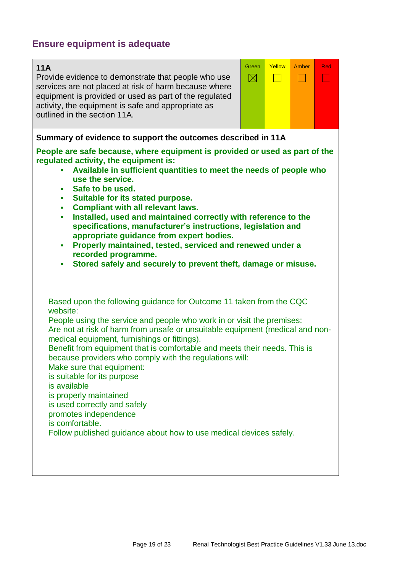# **Ensure equipment is adequate**

# **11A**

Provide evidence to demonstrate that people who use services are not placed at risk of harm because where equipment is provided or used as part of the regulated activity, the equipment is safe and appropriate as outlined in the section 11A.



# **Summary of evidence to support the outcomes described in 11A**

**People are safe because, where equipment is provided or used as part of the regulated activity, the equipment is:**

- **Available in sufficient quantities to meet the needs of people who use the service.**
- **Safe to be used.**
- **Suitable for its stated purpose.**
- **Compliant with all relevant laws.**
- **Installed, used and maintained correctly with reference to the specifications, manufacturer's instructions, legislation and appropriate guidance from expert bodies.**
- **Properly maintained, tested, serviced and renewed under a recorded programme.**
- **Stored safely and securely to prevent theft, damage or misuse.**

Based upon the following guidance for Outcome 11 taken from the CQC website:

People using the service and people who work in or visit the premises: Are not at risk of harm from unsafe or unsuitable equipment (medical and nonmedical equipment, furnishings or fittings).

Benefit from equipment that is comfortable and meets their needs. This is because providers who comply with the regulations will:

Make sure that equipment:

is suitable for its purpose

is available

is properly maintained

is used correctly and safely

promotes independence

is comfortable.

Follow published guidance about how to use medical devices safely.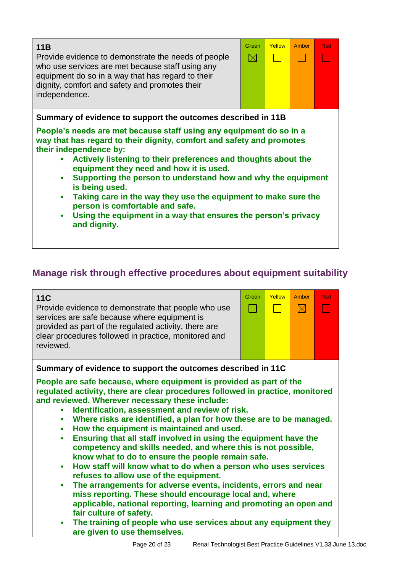| 11B<br>Provide evidence to demonstrate the needs of people<br>who use services are met because staff using any<br>equipment do so in a way that has regard to their<br>dignity, comfort and safety and promotes their<br>independence.                                                                                                                                                                                                                                                                                                                                                                                             | Green<br>$\boxtimes$ | Yellow | Amber | Red |
|------------------------------------------------------------------------------------------------------------------------------------------------------------------------------------------------------------------------------------------------------------------------------------------------------------------------------------------------------------------------------------------------------------------------------------------------------------------------------------------------------------------------------------------------------------------------------------------------------------------------------------|----------------------|--------|-------|-----|
| Summary of evidence to support the outcomes described in 11B<br>People's needs are met because staff using any equipment do so in a<br>way that has regard to their dignity, comfort and safety and promotes<br>their independence by:<br>Actively listening to their preferences and thoughts about the<br>equipment they need and how it is used.<br>Supporting the person to understand how and why the equipment<br>is being used.<br>Taking care in the way they use the equipment to make sure the<br>٠<br>person is comfortable and safe.<br>Using the equipment in a way that ensures the person's privacy<br>and dignity. |                      |        |       |     |

# **Manage risk through effective procedures about equipment suitability**

| <b>11C</b><br>Provide evidence to demonstrate that people who use<br>services are safe because where equipment is<br>provided as part of the regulated activity, there are<br>clear procedures followed in practice, monitored and<br>reviewed.                                                                                                                                                                                                                                                                                                                                                                                                                                                                                                                                                                                                                                                                                                                                                                                                                                              | Green | Yellow<br>$\Box$ | Amber<br>$\boxtimes$ | Red |
|----------------------------------------------------------------------------------------------------------------------------------------------------------------------------------------------------------------------------------------------------------------------------------------------------------------------------------------------------------------------------------------------------------------------------------------------------------------------------------------------------------------------------------------------------------------------------------------------------------------------------------------------------------------------------------------------------------------------------------------------------------------------------------------------------------------------------------------------------------------------------------------------------------------------------------------------------------------------------------------------------------------------------------------------------------------------------------------------|-------|------------------|----------------------|-----|
| Summary of evidence to support the outcomes described in 11C                                                                                                                                                                                                                                                                                                                                                                                                                                                                                                                                                                                                                                                                                                                                                                                                                                                                                                                                                                                                                                 |       |                  |                      |     |
| People are safe because, where equipment is provided as part of the<br>regulated activity, there are clear procedures followed in practice, monitored<br>and reviewed. Wherever necessary these include:<br>Identification, assessment and review of risk.<br>Where risks are identified, a plan for how these are to be managed.<br>$\blacksquare$<br>How the equipment is maintained and used.<br>$\blacksquare$<br>Ensuring that all staff involved in using the equipment have the<br>$\blacksquare$<br>competency and skills needed, and where this is not possible,<br>know what to do to ensure the people remain safe.<br>How staff will know what to do when a person who uses services<br>٠<br>refuses to allow use of the equipment.<br>The arrangements for adverse events, incidents, errors and near<br>٠<br>miss reporting. These should encourage local and, where<br>applicable, national reporting, learning and promoting an open and<br>fair culture of safety.<br>The training of people who use services about any equipment they<br>٠<br>are given to use themselves. |       |                  |                      |     |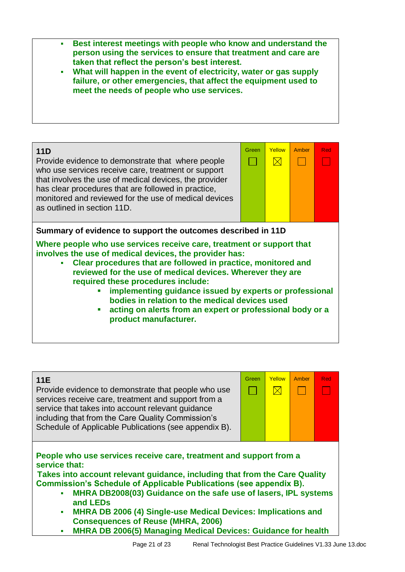**Best interest meetings with people who know and understand the person using the services to ensure that treatment and care are taken that reflect the person's best interest.**





## **11E**

Provide evidence to demonstrate that people who use services receive care, treatment and support from a service that takes into account relevant guidance including that from the Care Quality Commission's Schedule of Applicable Publications (see appendix B).



**People who use services receive care, treatment and support from a service that:**

**Takes into account relevant guidance, including that from the Care Quality Commission's Schedule of Applicable Publications (see appendix B).**

- **MHRA DB2008(03) Guidance on the safe use of lasers, IPL systems and LEDs**
- **MHRA DB 2006 (4) Single-use Medical Devices: Implications and Consequences of Reuse (MHRA, 2006)**
- **MHRA DB 2006(5) Managing Medical Devices: Guidance for health**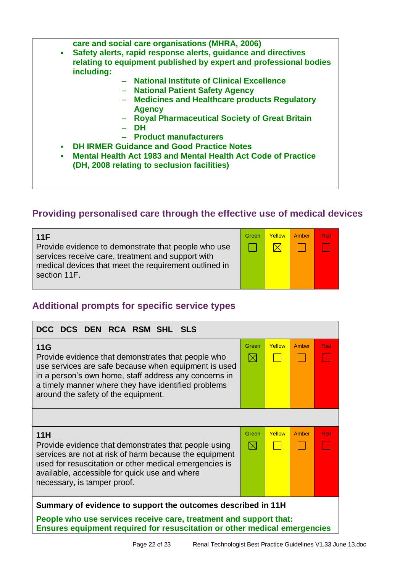**care and social care organisations (MHRA, 2006)**

- **Safety alerts, rapid response alerts, guidance and directives relating to equipment published by expert and professional bodies including:**
	- **National Institute of Clinical Excellence**
	- **National Patient Safety Agency**
	- **Medicines and Healthcare products Regulatory Agency**
	- **Royal Pharmaceutical Society of Great Britain**
	- **DH**
	- **Product manufacturers**
- **DH IRMER Guidance and Good Practice Notes**
- **Mental Health Act 1983 and Mental Health Act Code of Practice (DH, 2008 relating to seclusion facilities)**

# **Providing personalised care through the effective use of medical devices**

| 11F                                                                                                        | Green | Yellow     | Amber | Red |
|------------------------------------------------------------------------------------------------------------|-------|------------|-------|-----|
| Provide evidence to demonstrate that people who use                                                        |       | $\times$ l |       |     |
| services receive care, treatment and support with<br>medical devices that meet the requirement outlined in |       |            |       |     |
| section 11F.                                                                                               |       |            |       |     |

# **Additional prompts for specific service types**

| DCC DCS DEN RCA RSM SHL SLS                                                                                                                                                                                                                                              |                      |        |       |     |
|--------------------------------------------------------------------------------------------------------------------------------------------------------------------------------------------------------------------------------------------------------------------------|----------------------|--------|-------|-----|
| 11G<br>Provide evidence that demonstrates that people who<br>use services are safe because when equipment is used<br>in a person's own home, staff address any concerns in<br>a timely manner where they have identified problems<br>around the safety of the equipment. | Green<br>$\boxtimes$ | Yellow | Amber | Red |
|                                                                                                                                                                                                                                                                          |                      |        |       |     |
| 11H<br>Provide evidence that demonstrates that people using<br>services are not at risk of harm because the equipment<br>used for resuscitation or other medical emergencies is<br>available, accessible for quick use and where<br>necessary, is tamper proof.          | Green<br>$\boxtimes$ | Yellow | Amber | Red |
| Summary of evidence to support the outcomes described in 11H                                                                                                                                                                                                             |                      |        |       |     |
| People who use services receive care, treatment and support that:<br>Ensures equipment required for resuscitation or other medical emergencies                                                                                                                           |                      |        |       |     |